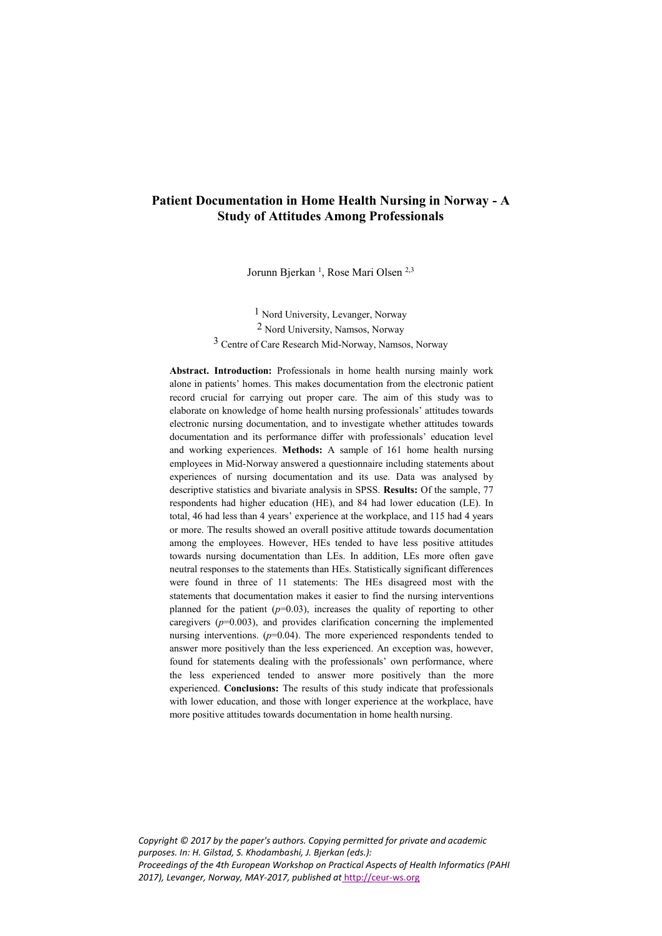# **Patient Documentation in Home Health Nursing in Norway - A Study of Attitudes Among Professionals**

Jorunn Bjerkan<sup>1</sup>, Rose Mari Olsen<sup>2,3</sup>

1 Nord University, Levanger, Norway 2 Nord University, Namsos, Norway 3 Centre of Care Research Mid-Norway, Namsos, Norway

**Abstract. Introduction:** Professionals in home health nursing mainly work alone in patients' homes. This makes documentation from the electronic patient record crucial for carrying out proper care. The aim of this study was to elaborate on knowledge of home health nursing professionals' attitudes towards electronic nursing documentation, and to investigate whether attitudes towards documentation and its performance differ with professionals' education level and working experiences. **Methods:** A sample of 161 home health nursing employees in Mid-Norway answered a questionnaire including statements about experiences of nursing documentation and its use. Data was analysed by descriptive statistics and bivariate analysis in SPSS. **Results:** Of the sample, 77 respondents had higher education (HE), and 84 had lower education (LE). In total, 46 had less than 4 years' experience at the workplace, and 115 had 4 years or more. The results showed an overall positive attitude towards documentation among the employees. However, HEs tended to have less positive attitudes towards nursing documentation than LEs. In addition, LEs more often gave neutral responses to the statements than HEs. Statistically significant differences were found in three of 11 statements: The HEs disagreed most with the statements that documentation makes it easier to find the nursing interventions planned for the patient  $(p=0.03)$ , increases the quality of reporting to other caregivers (*p*=0.003), and provides clarification concerning the implemented nursing interventions. ( $p=0.04$ ). The more experienced respondents tended to answer more positively than the less experienced. An exception was, however, found for statements dealing with the professionals' own performance, where the less experienced tended to answer more positively than the more experienced. **Conclusions:** The results of this study indicate that professionals with lower education, and those with longer experience at the workplace, have more positive attitudes towards documentation in home health nursing.

*Copyright © 2017 by the paper's authors. Copying permitted for private and academic purposes. In: H. Gilstad, S. Khodambashi, J. Bjerkan (eds.): Proceedings of the 4th European Workshop on Practical Aspects of Health Informatics (PAHI 2017), Levanger, Norway, MAY-2017, published a[t](http://ceur-ws.org/)* [http://ceur-ws.org](http://ceur-ws.org/)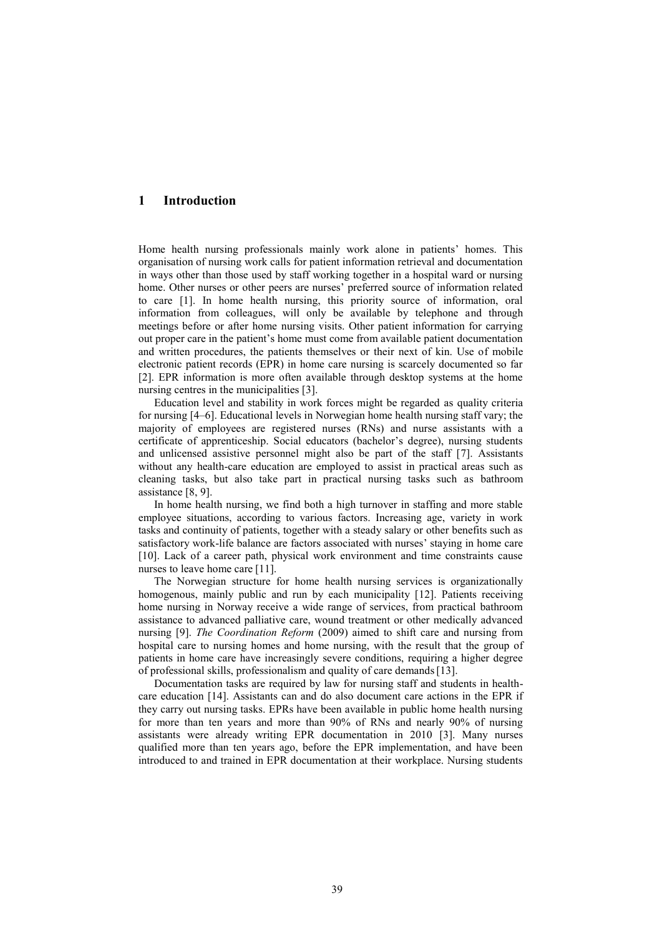#### **1 Introduction**

Home health nursing professionals mainly work alone in patients' homes. This organisation of nursing work calls for patient information retrieval and documentation in ways other than those used by staff working together in a hospital ward or nursing home. Other nurses or other peers are nurses' preferred source of information related to care [1]. In home health nursing, this priority source of information, oral information from colleagues, will only be available by telephone and through meetings before or after home nursing visits. Other patient information for carrying out proper care in the patient's home must come from available patient documentation and written procedures, the patients themselves or their next of kin. Use of mobile electronic patient records (EPR) in home care nursing is scarcely documented so far [2]. EPR information is more often available through desktop systems at the home nursing centres in the municipalities [3].

Education level and stability in work forces might be regarded as quality criteria for nursing [4–6]. Educational levels in Norwegian home health nursing staff vary; the majority of employees are registered nurses (RNs) and nurse assistants with a certificate of apprenticeship. Social educators (bachelor's degree), nursing students and unlicensed assistive personnel might also be part of the staff [7]. Assistants without any health-care education are employed to assist in practical areas such as cleaning tasks, but also take part in practical nursing tasks such as bathroom assistance [8, 9].

In home health nursing, we find both a high turnover in staffing and more stable employee situations, according to various factors. Increasing age, variety in work tasks and continuity of patients, together with a steady salary or other benefits such as satisfactory work-life balance are factors associated with nurses' staying in home care [10]. Lack of a career path, physical work environment and time constraints cause nurses to leave home care [11].

The Norwegian structure for home health nursing services is organizationally homogenous, mainly public and run by each municipality [12]. Patients receiving home nursing in Norway receive a wide range of services, from practical bathroom assistance to advanced palliative care, wound treatment or other medically advanced nursing [9]. *The Coordination Reform* (2009) aimed to shift care and nursing from hospital care to nursing homes and home nursing, with the result that the group of patients in home care have increasingly severe conditions, requiring a higher degree of professional skills, professionalism and quality of care demands[13].

Documentation tasks are required by law for nursing staff and students in healthcare education [14]. Assistants can and do also document care actions in the EPR if they carry out nursing tasks. EPRs have been available in public home health nursing for more than ten years and more than 90% of RNs and nearly 90% of nursing assistants were already writing EPR documentation in 2010 [3]. Many nurses qualified more than ten years ago, before the EPR implementation, and have been introduced to and trained in EPR documentation at their workplace. Nursing students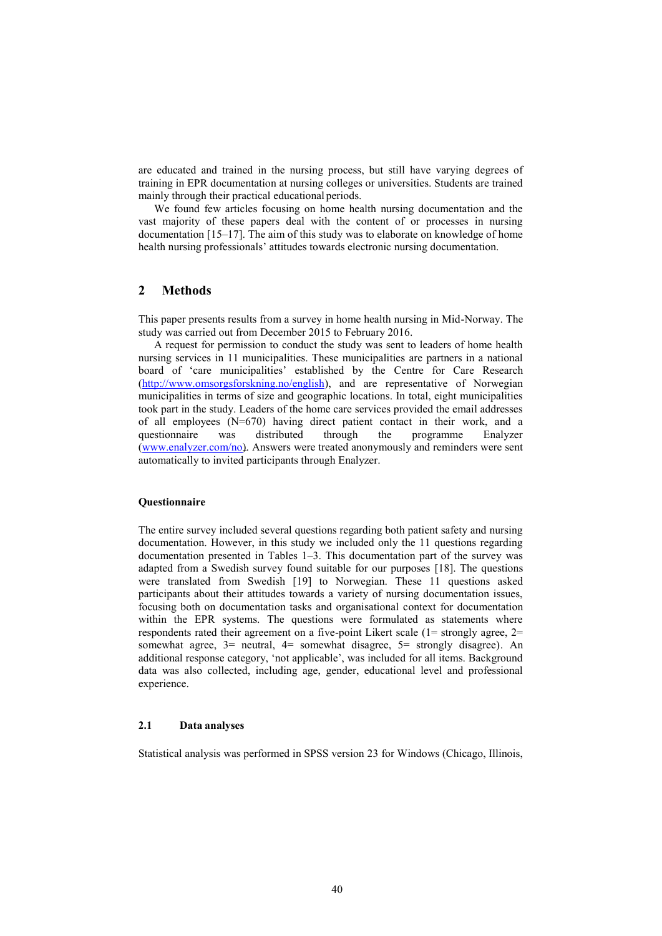are educated and trained in the nursing process, but still have varying degrees of training in EPR documentation at nursing colleges or universities. Students are trained mainly through their practical educational periods.

We found few articles focusing on home health nursing documentation and the vast majority of these papers deal with the content of or processes in nursing documentation [15–17]. The aim of this study was to elaborate on knowledge of home health nursing professionals' attitudes towards electronic nursing documentation.

# **2 Methods**

This paper presents results from a survey in home health nursing in Mid-Norway. The study was carried out from December 2015 to February 2016.

A request for permission to conduct the study was sent to leaders of home health nursing services in 11 municipalities. These municipalities are partners in a national board of 'care municipalities' established by the Centre for Care Research [\(http://www.omsorgsforskning.no/english\)](http://www.omsorgsforskning.no/english), and are representative of Norwegian municipalities in terms of size and geographic locations. In total, eight municipalities took part in the study. Leaders of the home care services provided the email addresses of all employees (N=670) having direct patient contact in their work, and a questionnaire was distributed through the programme Enalyzer [\(www.enalyzer.com/no\)](http://www.enalyzer.com/no). Answers were treated anonymously and reminders were sent automatically to invited participants through Enalyzer.

#### **Questionnaire**

The entire survey included several questions regarding both patient safety and nursing documentation. However, in this study we included only the 11 questions regarding documentation presented in Tables 1–3. This documentation part of the survey was adapted from a Swedish survey found suitable for our purposes [18]. The questions were translated from Swedish [19] to Norwegian. These 11 questions asked participants about their attitudes towards a variety of nursing documentation issues, focusing both on documentation tasks and organisational context for documentation within the EPR systems. The questions were formulated as statements where respondents rated their agreement on a five-point Likert scale (1= strongly agree, 2= somewhat agree, 3= neutral, 4= somewhat disagree, 5= strongly disagree). An additional response category, 'not applicable', was included for all items. Background data was also collected, including age, gender, educational level and professional experience.

### **2.1 Data analyses**

Statistical analysis was performed in SPSS version 23 for Windows (Chicago, Illinois,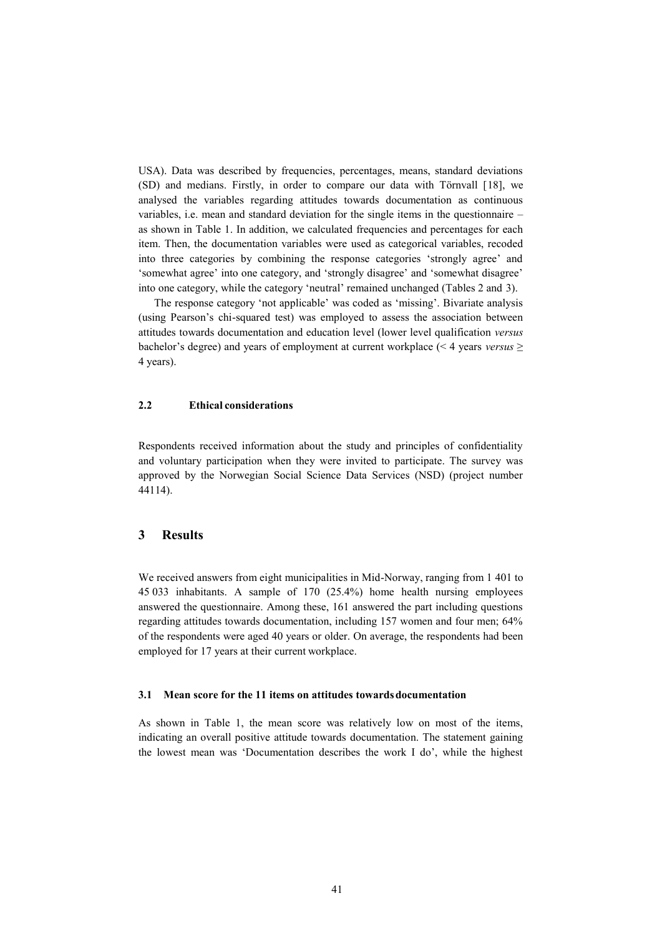USA). Data was described by frequencies, percentages, means, standard deviations (SD) and medians. Firstly, in order to compare our data with Törnvall [18], we analysed the variables regarding attitudes towards documentation as continuous variables, i.e. mean and standard deviation for the single items in the questionnaire – as shown in Table 1. In addition, we calculated frequencies and percentages for each item. Then, the documentation variables were used as categorical variables, recoded into three categories by combining the response categories 'strongly agree' and 'somewhat agree' into one category, and 'strongly disagree' and 'somewhat disagree' into one category, while the category 'neutral' remained unchanged (Tables 2 and 3).

The response category 'not applicable' was coded as 'missing'. Bivariate analysis (using Pearson's chi-squared test) was employed to assess the association between attitudes towards documentation and education level (lower level qualification *versus*  bachelor's degree) and years of employment at current workplace (˂ 4 years *versus* ≥ 4 years).

### **2.2 Ethical considerations**

Respondents received information about the study and principles of confidentiality and voluntary participation when they were invited to participate. The survey was approved by the Norwegian Social Science Data Services (NSD) (project number 44114).

# **3 Results**

We received answers from eight municipalities in Mid-Norway, ranging from 1 401 to 45 033 inhabitants. A sample of 170 (25.4%) home health nursing employees answered the questionnaire. Among these, 161 answered the part including questions regarding attitudes towards documentation, including 157 women and four men; 64% of the respondents were aged 40 years or older. On average, the respondents had been employed for 17 years at their current workplace.

#### **3.1 Mean score for the 11 items on attitudes towards documentation**

As shown in Table 1, the mean score was relatively low on most of the items, indicating an overall positive attitude towards documentation. The statement gaining the lowest mean was 'Documentation describes the work I do', while the highest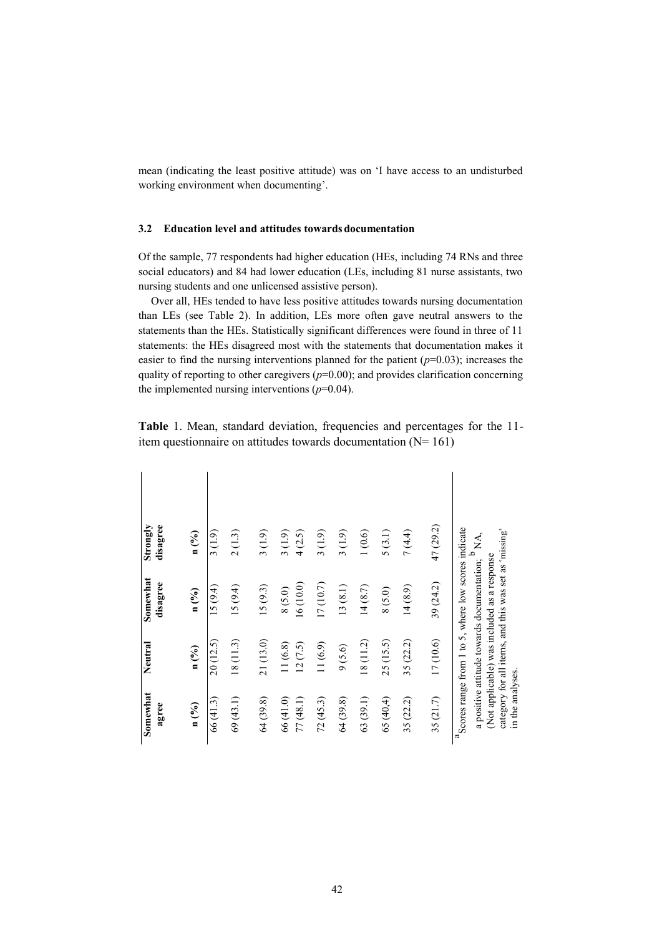mean (indicating the least positive attitude) was on 'I have access to an undisturbed working environment when documenting'.

## **3.2 Education level and attitudes towards documentation**

Of the sample, 77 respondents had higher education (HEs, including 74 RNs and three social educators) and 84 had lower education (LEs, including 81 nurse assistants, two nursing students and one unlicensed assistive person).

Over all, HEs tended to have less positive attitudes towards nursing documentation than LEs (see Table 2). In addition, LEs more often gave neutral answers to the statements than the HEs. Statistically significant differences were found in three of 11 statements: the HEs disagreed most with the statements that documentation makes it easier to find the nursing interventions planned for the patient  $(p=0.03)$ ; increases the quality of reporting to other caregivers  $(p=0.00)$ ; and provides clarification concerning the implemented nursing interventions  $(p=0.04)$ .

**Table** 1. Mean, standard deviation, frequencies and percentages for the 11 item questionnaire on attitudes towards documentation  $(N= 161)$ 

| Somewhat<br>agree     | Neutral            | Somewhat<br>disagree                                                                                 | disagree<br>Strongly |
|-----------------------|--------------------|------------------------------------------------------------------------------------------------------|----------------------|
| $n$ (%)               | $n$ (%)            | n (%)                                                                                                | n (%)                |
| 66 (41.3)             | 20(12.5)           | 15(9.4)                                                                                              | 3(1.9)               |
| 69(43.1)              | 18 (11.3)          | 15(9.4)                                                                                              | 2(1.3)               |
| 64 (39.8)             | 21(13.0)           | 15(9.3)                                                                                              | 3(1.9)               |
| 66 (41.0)<br>77(48.1) | 11(6.8)<br>12(7.5) | 16(10.0)<br>8(5.0)                                                                                   | 3(1.9)<br>4(2.5)     |
| 72(45.3)              | 11(6.9)            | 17 (10.7)                                                                                            | 3(1.9)               |
| 64 (39.8)             | 9(5.6)             | 13(8.1)                                                                                              | 3(1.9)               |
| 63(39.1)              | 18 (11.2)          | 14(8.7)                                                                                              | 1(0.6)               |
| 65(40,4)              | 25 (15.5)          | 8(5.0)                                                                                               | 5(3.1)               |
| 35 (22.2)             | 35 (22.2)          | 14(8.9)                                                                                              | 7(4.4)               |
| 35(21.7)              | 17(10.6)           | 39 (24.2)                                                                                            | 47 (29.2)            |
|                       |                    | a Scores range from 1 to 5, where low scores indicate                                                |                      |
|                       |                    | a positive attitude towards documentation;                                                           | $P_{\rm NA}$         |
|                       |                    | category for all items, and this was set as 'missing'<br>(Not applicable) was included as a response |                      |
| in the analyses.      |                    |                                                                                                      |                      |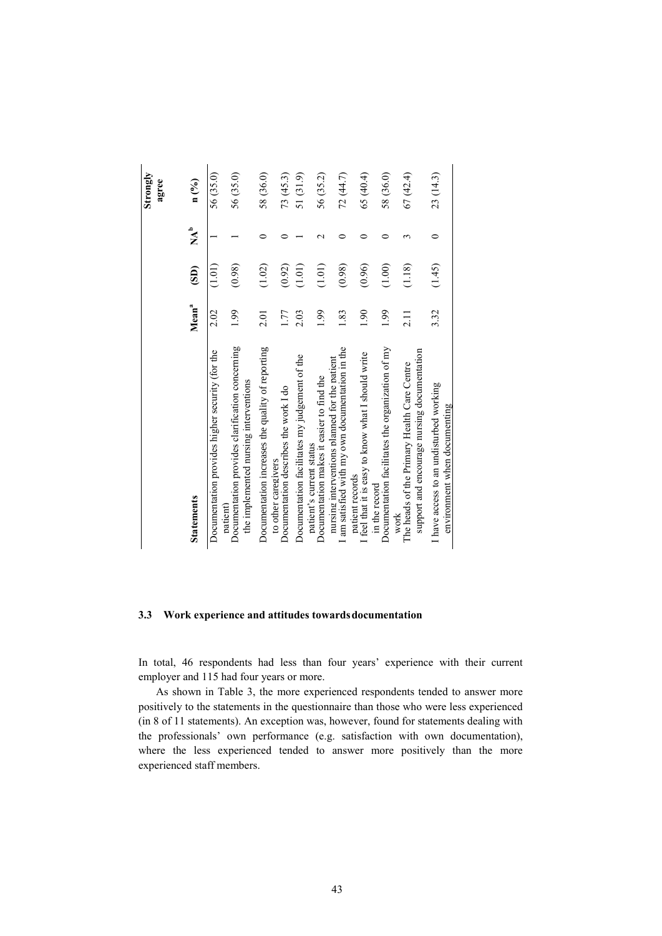|                                                                                                    |                   |                           |                           | Strongly<br>agree |
|----------------------------------------------------------------------------------------------------|-------------------|---------------------------|---------------------------|-------------------|
| <b>Statements</b>                                                                                  | Mean <sup>a</sup> | $\overline{\textbf{(S)}}$ | $\mathbf{A}^{\mathbf{b}}$ | $n$ (%)           |
| Documentation provides higher security (for the<br>patient                                         | 2.02              | (1.01)                    |                           | 56 (35.0)         |
| Documentation provides clarification concerning<br>the implemented nursing interventions           | 1.99              | (0.98)                    |                           | 56 (35.0)         |
| Documentation increases the quality of reporting<br>to other caregivers                            | 2.01              | (1.02)                    | ⊂                         | 58 (36.0)         |
| Documentation describes the work I do                                                              | 1.77              | (0.92)                    |                           | 73 (45.3)         |
| Documentation facilitates my judgement of the                                                      | 2.03              | (1.01)                    |                           | 51 (31.9)         |
| Documentation makes it easier to find the<br>patient's current status                              | 1.99              | (1.01)                    | $\sim$                    | 56 (35.2)         |
| I am satisfied with my own documentation in the<br>nursing interventions planned for the patient   | 1.83              | (0.98)                    |                           | 72 (44.7)         |
| I feel that it is easy to know what I should write<br>patient records                              | 06.1              | (0.96)                    |                           | 65 (40.4)         |
| Documentation facilitates the organization of my<br>in the record                                  | 1.99              | (1.00)                    |                           | 58 (36.0)         |
| support and encourage nursing documentation<br>The heads of the Primary Health Care Centre<br>work | $\frac{1}{2}$     | (1.18)                    |                           | 67(42.4)          |
| I have access to an undisturbed working<br>environment when documenting                            | 3.32              | (1.45)                    | $\circ$                   | 23 (14.3)         |

#### **3.3 Work experience and attitudes towardsdocumentation**

In total, 46 respondents had less than four years' experience with their current employer and 115 had four years or more.

As shown in Table 3, the more experienced respondents tended to answer more positively to the statements in the questionnaire than those who were less experienced (in 8 of 11 statements). An exception was, however, found for statements dealing with the professionals' own performance (e.g. satisfaction with own documentation), where the less experienced tended to answer more positively than the more experienced staff members.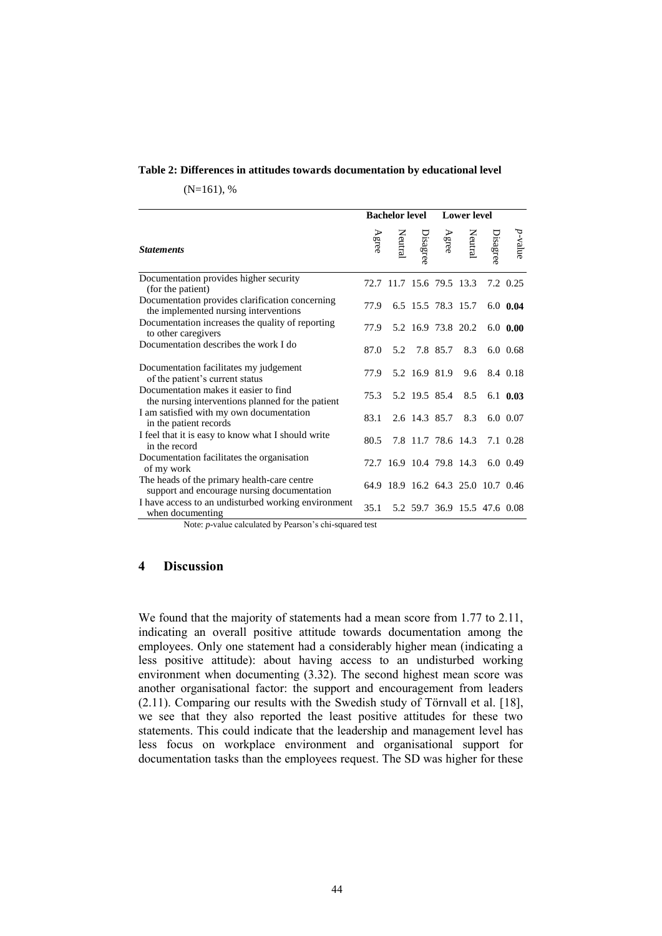#### **Table 2: Differences in attitudes towards documentation by educational level**

 $(N=161)$ , %

|                                                                                                                                                                  |       | <b>Bachelor level</b>              |                    | <b>Lower</b> level |                                                      |                  |
|------------------------------------------------------------------------------------------------------------------------------------------------------------------|-------|------------------------------------|--------------------|--------------------|------------------------------------------------------|------------------|
| <b>Statements</b>                                                                                                                                                | Agree |                                    |                    |                    | Disagree<br>Neutral<br>Agree<br>Disagree<br>Disagree | $p\hbox{-value}$ |
| Documentation provides higher security<br>(for the patient)                                                                                                      |       | 72.7 11.7 15.6 79.5 13.3           |                    |                    |                                                      | 7.2 0.25         |
| Documentation provides clarification concerning<br>the implemented nursing interventions                                                                         | 77.9  |                                    | 6.5 15.5 78.3 15.7 |                    |                                                      | $6.0 \;\; 0.04$  |
| Documentation increases the quality of reporting<br>to other caregivers                                                                                          | 77.9  |                                    | 5.2 16.9 73.8 20.2 |                    |                                                      | $6.0\;0.00$      |
| Documentation describes the work I do                                                                                                                            | 87.0  | 5.2                                | 7.8 85.7           | 8.3                |                                                      | $6.0 \ \ 0.68$   |
| Documentation facilitates my judgement<br>of the patient's current status                                                                                        | 77.9  |                                    | 5.2 16.9 81.9      | 9.6                |                                                      | 8.4 0.18         |
| Documentation makes it easier to find<br>the nursing interventions planned for the patient                                                                       | 75.3  |                                    | 5.2 19.5 85.4      | 8.5                |                                                      | $6.1 \t0.03$     |
| I am satisfied with my own documentation<br>in the patient records                                                                                               | 83.1  |                                    | 2.6 14.3 85.7      | 8.3                |                                                      | $6.0 \ \ 0.07$   |
| I feel that it is easy to know what I should write<br>in the record                                                                                              | 80.5  |                                    | 7.8 11.7 78.6 14.3 |                    |                                                      | 7.1 0.28         |
| Documentation facilitates the organisation<br>of my work                                                                                                         |       | 72.7 16.9 10.4 79.8 14.3           |                    |                    |                                                      | $6.0 \ \ 0.49$   |
| The heads of the primary health-care centre<br>support and encourage nursing documentation                                                                       |       | 64.9 18.9 16.2 64.3 25.0 10.7 0.46 |                    |                    |                                                      |                  |
| I have access to an undisturbed working environment<br>when documenting<br>$N_{\text{min}}$ and $\alpha$ is the late of the Decree $\lambda$ is the second test. | 35.1  |                                    |                    |                    | 5.2 59.7 36.9 15.5 47.6 0.08                         |                  |

Note: *p-*value calculated by Pearson's chi-squared test

# **4 Discussion**

We found that the majority of statements had a mean score from 1.77 to 2.11, indicating an overall positive attitude towards documentation among the employees. Only one statement had a considerably higher mean (indicating a less positive attitude): about having access to an undisturbed working environment when documenting (3.32). The second highest mean score was another organisational factor: the support and encouragement from leaders (2.11). Comparing our results with the Swedish study of Törnvall et al. [18], we see that they also reported the least positive attitudes for these two statements. This could indicate that the leadership and management level has less focus on workplace environment and organisational support for documentation tasks than the employees request. The SD was higher for these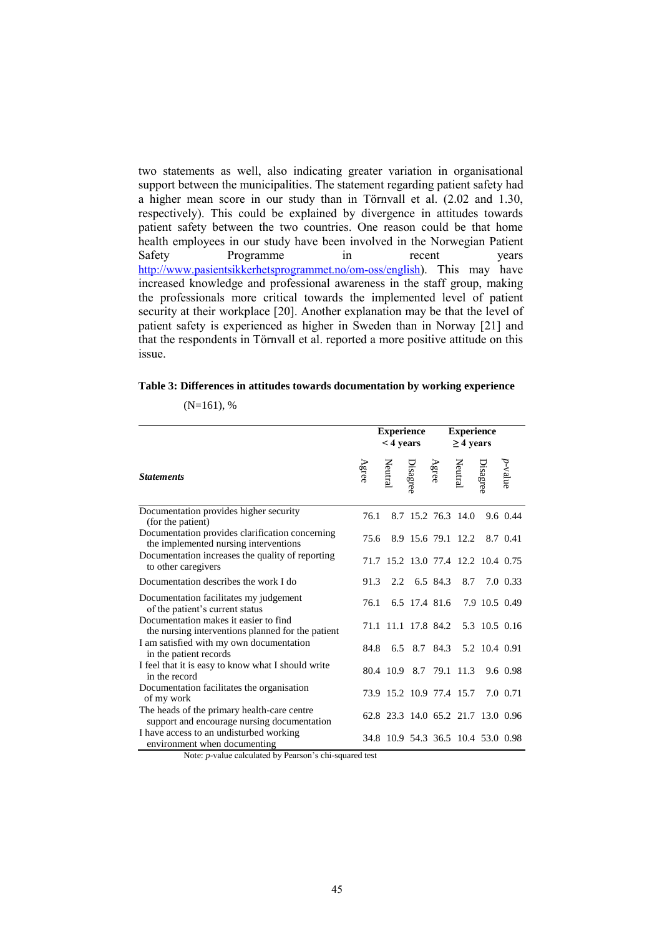two statements as well, also indicating greater variation in organisational support between the municipalities. The statement regarding patient safety had a higher mean score in our study than in Törnvall et al. (2.02 and 1.30, respectively). This could be explained by divergence in attitudes towards patient safety between the two countries. One reason could be that home health employees in our study have been involved in the Norwegian Patient Safety Programme in recent years <http://www.pasientsikkerhetsprogrammet.no/om-oss/english>). This may have increased knowledge and professional awareness in the staff group, making the professionals more critical towards the implemented level of patient security at their workplace [20]. Another explanation may be that the level of patient safety is experienced as higher in Sweden than in Norway [21] and that the respondents in Törnvall et al. reported a more positive attitude on this issue.

#### **Table 3: Differences in attitudes towards documentation by working experience**

|                                                                                            |      | <b>Experience</b><br>$<$ 4 years |  | <b>Experience</b><br>$\geq$ 4 years                        |          |
|--------------------------------------------------------------------------------------------|------|----------------------------------|--|------------------------------------------------------------|----------|
| <b>Statements</b>                                                                          |      |                                  |  | p-value<br>Disagree<br>Agree<br>Disagree<br>Netre<br>Agree |          |
| Documentation provides higher security<br>(for the patient)                                | 76.1 |                                  |  | 8.7 15.2 76.3 14.0 9.6 0.44                                |          |
| Documentation provides clarification concerning<br>the implemented nursing interventions   | 75.6 |                                  |  | 8.9 15.6 79.1 12.2 8.7 0.41                                |          |
| Documentation increases the quality of reporting<br>to other caregivers                    |      |                                  |  | 71.7 15.2 13.0 77.4 12.2 10.4 0.75                         |          |
| Documentation describes the work I do                                                      | 91.3 |                                  |  | 2.2 6.5 84.3 8.7 7.0 0.33                                  |          |
| Documentation facilitates my judgement<br>of the patient's current status                  | 76.1 |                                  |  | 6.5 17.4 81.6 7.9 10.5 0.49                                |          |
| Documentation makes it easier to find<br>the nursing interventions planned for the patient |      |                                  |  | 71.1 11.1 17.8 84.2 5.3 10.5 0.16                          |          |
| I am satisfied with my own documentation<br>in the patient records                         | 84.8 |                                  |  | 6.5 8.7 84.3 5.2 10.4 0.91                                 |          |
| I feel that it is easy to know what I should write<br>in the record                        |      |                                  |  | 80.4 10.9 8.7 79.1 11.3                                    | 9.6 0.98 |
| Documentation facilitates the organisation<br>of my work                                   |      |                                  |  | 73.9 15.2 10.9 77.4 15.7 7.0 0.71                          |          |
| The heads of the primary health-care centre<br>support and encourage nursing documentation |      |                                  |  | 62.8 23.3 14.0 65.2 21.7 13.0 0.96                         |          |
| I have access to an undisturbed working<br>environment when documenting                    |      |                                  |  | 34.8 10.9 54.3 36.5 10.4 53.0 0.98                         |          |

### $(N=161)$ , %

Note: *p-*value calculated by Pearson's chi-squared test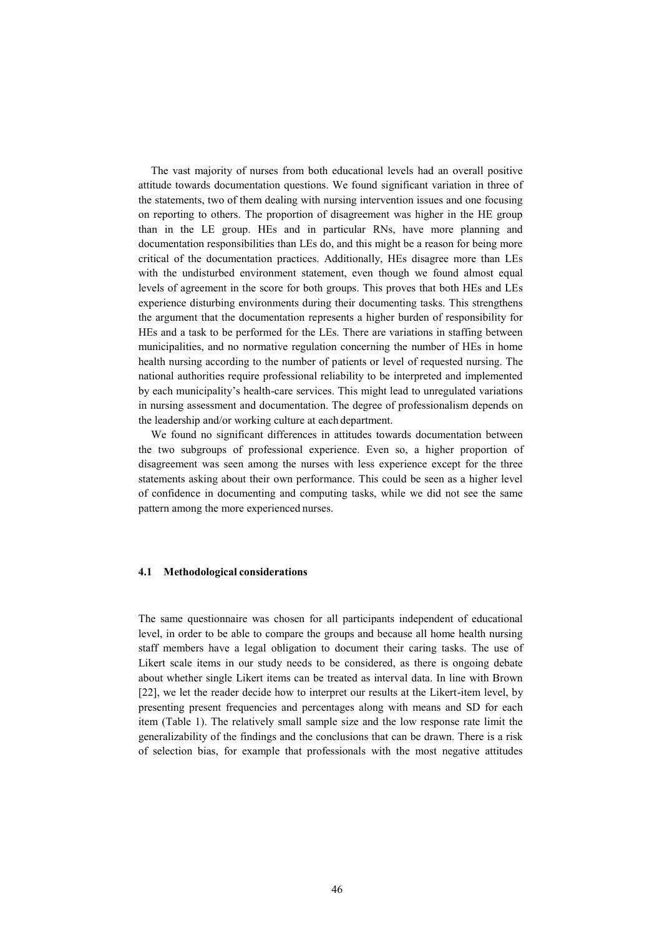The vast majority of nurses from both educational levels had an overall positive attitude towards documentation questions. We found significant variation in three of the statements, two of them dealing with nursing intervention issues and one focusing on reporting to others. The proportion of disagreement was higher in the HE group than in the LE group. HEs and in particular RNs, have more planning and documentation responsibilities than LEs do, and this might be a reason for being more critical of the documentation practices. Additionally, HEs disagree more than LEs with the undisturbed environment statement, even though we found almost equal levels of agreement in the score for both groups. This proves that both HEs and LEs experience disturbing environments during their documenting tasks. This strengthens the argument that the documentation represents a higher burden of responsibility for HEs and a task to be performed for the LEs. There are variations in staffing between municipalities, and no normative regulation concerning the number of HEs in home health nursing according to the number of patients or level of requested nursing. The national authorities require professional reliability to be interpreted and implemented by each municipality's health-care services. This might lead to unregulated variations in nursing assessment and documentation. The degree of professionalism depends on the leadership and/or working culture at each department.

We found no significant differences in attitudes towards documentation between the two subgroups of professional experience. Even so, a higher proportion of disagreement was seen among the nurses with less experience except for the three statements asking about their own performance. This could be seen as a higher level of confidence in documenting and computing tasks, while we did not see the same pattern among the more experienced nurses.

#### **4.1 Methodological considerations**

The same questionnaire was chosen for all participants independent of educational level, in order to be able to compare the groups and because all home health nursing staff members have a legal obligation to document their caring tasks. The use of Likert scale items in our study needs to be considered, as there is ongoing debate about whether single Likert items can be treated as interval data. In line with Brown [22], we let the reader decide how to interpret our results at the Likert-item level, by presenting present frequencies and percentages along with means and SD for each item (Table 1). The relatively small sample size and the low response rate limit the generalizability of the findings and the conclusions that can be drawn. There is a risk of selection bias, for example that professionals with the most negative attitudes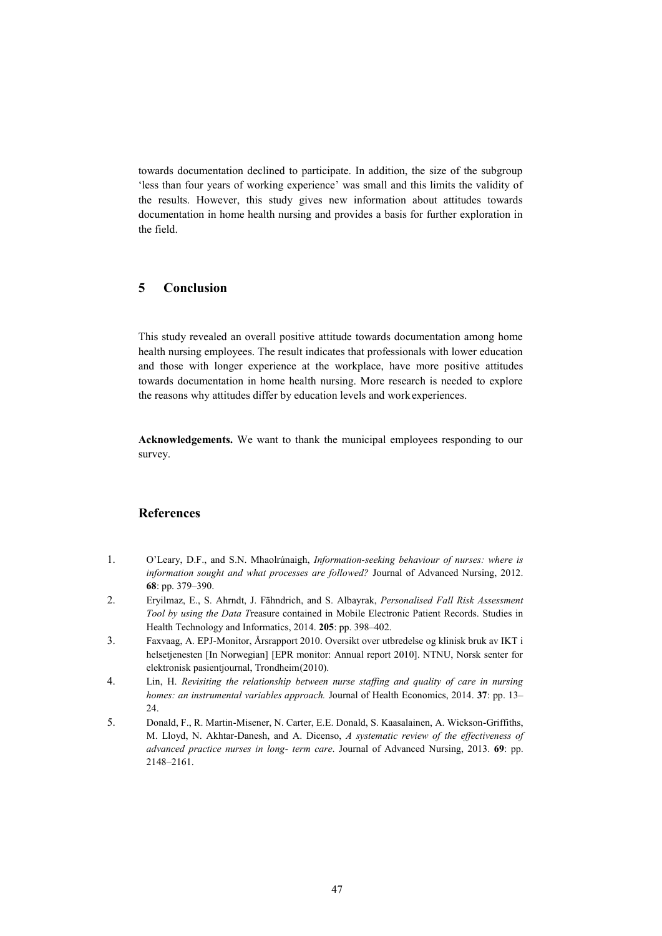towards documentation declined to participate. In addition, the size of the subgroup 'less than four years of working experience' was small and this limits the validity of the results. However, this study gives new information about attitudes towards documentation in home health nursing and provides a basis for further exploration in the field.

# **5 Conclusion**

This study revealed an overall positive attitude towards documentation among home health nursing employees. The result indicates that professionals with lower education and those with longer experience at the workplace, have more positive attitudes towards documentation in home health nursing. More research is needed to explore the reasons why attitudes differ by education levels and workexperiences.

**Acknowledgements.** We want to thank the municipal employees responding to our survey.

## **References**

- 1. O'Leary, D.F., and S.N. Mhaolrúnaigh, *Information-seeking behaviour of nurses: where is information sought and what processes are followed?* Journal of Advanced Nursing, 2012. **68**: pp. 379–390.
- 2. Eryilmaz, E., S. Ahrndt, J. Fähndrich, and S. Albayrak, *Personalised Fall Risk Assessment Tool by using the Data T*reasure contained in Mobile Electronic Patient Records. Studies in Health Technology and Informatics, 2014. **205**: pp. 398–402.
- 3. Faxvaag, A. EPJ-Monitor, Årsrapport 2010. Oversikt over utbredelse og klinisk bruk av IKT i helsetjenesten [In Norwegian] [EPR monitor: Annual report 2010]. NTNU, Norsk senter for elektronisk pasientjournal, Trondheim(2010).
- 4. Lin, H. *Revisiting the relationship between nurse staffing and quality of care in nursing homes: an instrumental variables approach.* Journal of Health Economics, 2014. **37**: pp. 13– 24.
- 5. Donald, F., R. Martin-Misener, N. Carter, E.E. Donald, S. Kaasalainen, A. Wickson-Griffiths, M. Lloyd, N. Akhtar-Danesh, and A. Dicenso, *A systematic review of the effectiveness of advanced practice nurses in long- term care*. Journal of Advanced Nursing, 2013. **69**: pp. 2148–2161.